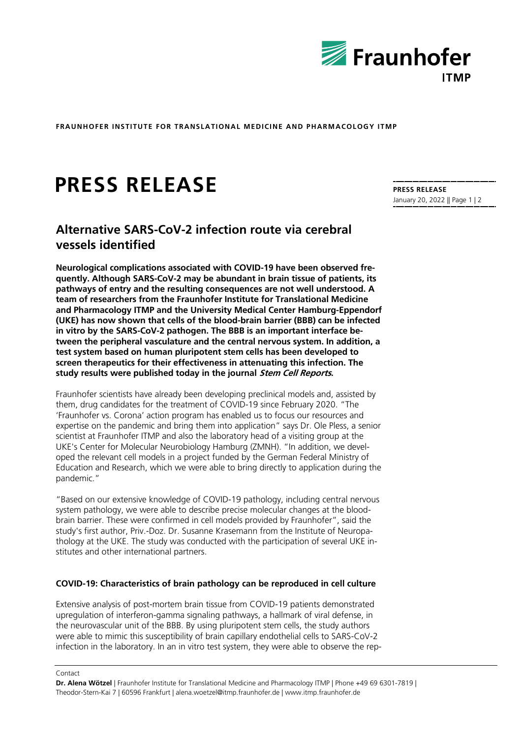

**FRAUNHOFER INSTITUTE FOR TRANSLATIONAL MEDICINE AND PHARMACOLOGY ITMP**

# **PRESS RELEASE**

## **Alternative SARS-CoV-2 infection route via cerebral vessels identified**

**Neurological complications associated with COVID-19 have been observed frequently. Although SARS-CoV-2 may be abundant in brain tissue of patients, its pathways of entry and the resulting consequences are not well understood. A team of researchers from the Fraunhofer Institute for Translational Medicine and Pharmacology ITMP and the University Medical Center Hamburg-Eppendorf (UKE) has now shown that cells of the blood-brain barrier (BBB) can be infected in vitro by the SARS-CoV-2 pathogen. The BBB is an important interface between the peripheral vasculature and the central nervous system. In addition, a test system based on human pluripotent stem cells has been developed to screen therapeutics for their effectiveness in attenuating this infection. The study results were published today in the journal Stem Cell Reports.**

Fraunhofer scientists have already been developing preclinical models and, assisted by them, drug candidates for the treatment of COVID-19 since February 2020. "The 'Fraunhofer vs. Corona' action program has enabled us to focus our resources and expertise on the pandemic and bring them into application" says Dr. Ole Pless, a senior scientist at Fraunhofer ITMP and also the laboratory head of a visiting group at the UKE's Center for Molecular Neurobiology Hamburg (ZMNH). "In addition, we developed the relevant cell models in a project funded by the German Federal Ministry of Education and Research, which we were able to bring directly to application during the pandemic."

"Based on our extensive knowledge of COVID-19 pathology, including central nervous system pathology, we were able to describe precise molecular changes at the bloodbrain barrier. These were confirmed in cell models provided by Fraunhofer", said the study's first author, Priv.-Doz. Dr. Susanne Krasemann from the Institute of Neuropathology at the UKE. The study was conducted with the participation of several UKE institutes and other international partners.

#### **COVID-19: Characteristics of brain pathology can be reproduced in cell culture**

Extensive analysis of post-mortem brain tissue from COVID-19 patients demonstrated upregulation of interferon-gamma signaling pathways, a hallmark of viral defense, in the neurovascular unit of the BBB. By using pluripotent stem cells, the study authors were able to mimic this susceptibility of brain capillary endothelial cells to SARS-CoV-2 infection in the laboratory. In an in vitro test system, they were able to observe the rep-

#### **PRESS RELEASE** January 20, 2022 || Page 1 | 2

Contact

**Dr. Alena Wötzel** | Fraunhofer Institute for Translational Medicine and Pharmacology ITMP | Phone +49 69 6301-7819 | Theodor-Stern-Kai 7 | 60596 Frankfurt | alena.woetzel@itmp.fraunhofer.de | www.itmp.fraunhofer.de